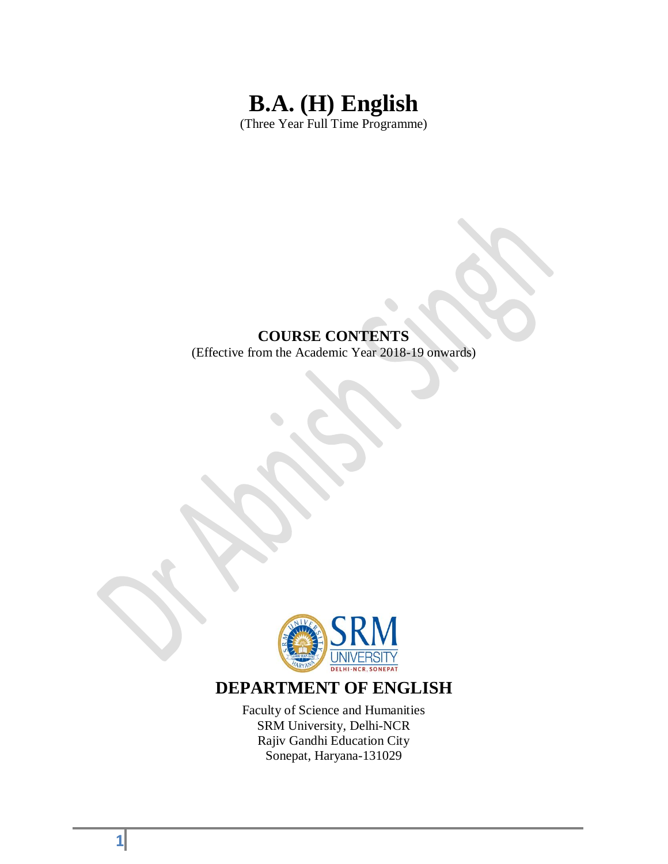# **B.A. (H) English** (Three Year Full Time Programme)

#### **COURSE CONTENTS**

(Effective from the Academic Year 2018-19 onwards)



## **DEPARTMENT OF ENGLISH**

Faculty of Science and Humanities SRM University, Delhi-NCR Rajiv Gandhi Education City Sonepat, Haryana-131029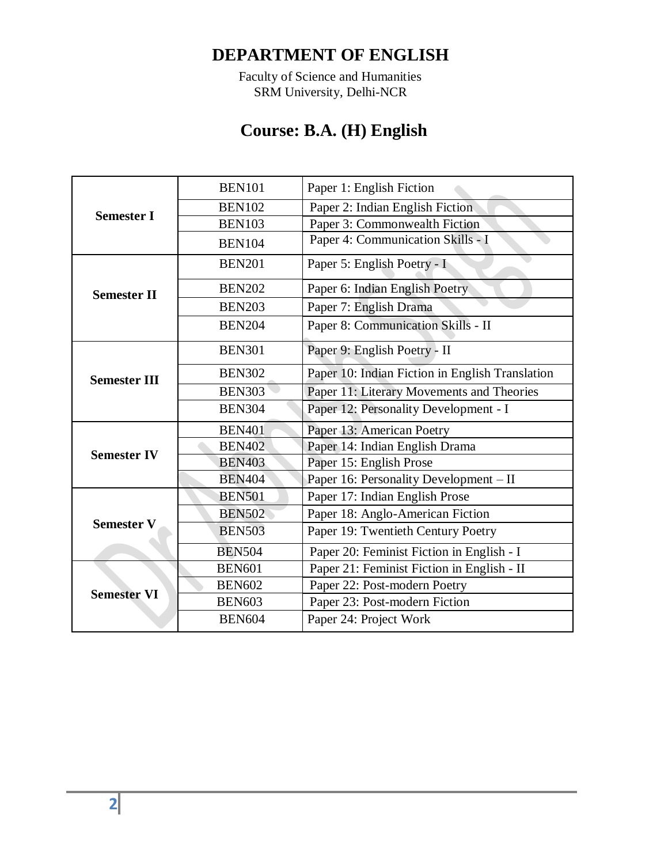Faculty of Science and Humanities SRM University, Delhi-NCR

# **Course: B.A. (H) English**

|                     | <b>BEN101</b> | Paper 1: English Fiction                        |
|---------------------|---------------|-------------------------------------------------|
|                     | <b>BEN102</b> | Paper 2: Indian English Fiction                 |
| <b>Semester I</b>   | <b>BEN103</b> | Paper 3: Commonwealth Fiction                   |
|                     | <b>BEN104</b> | Paper 4: Communication Skills - I               |
|                     | <b>BEN201</b> | Paper 5: English Poetry - I                     |
| <b>Semester II</b>  | <b>BEN202</b> | Paper 6: Indian English Poetry                  |
|                     | <b>BEN203</b> | Paper 7: English Drama                          |
|                     | <b>BEN204</b> | Paper 8: Communication Skills - II              |
|                     | <b>BEN301</b> | Paper 9: English Poetry - II                    |
| <b>Semester III</b> | <b>BEN302</b> | Paper 10: Indian Fiction in English Translation |
|                     | <b>BEN303</b> | Paper 11: Literary Movements and Theories       |
|                     | <b>BEN304</b> | Paper 12: Personality Development - I           |
|                     | <b>BEN401</b> | Paper 13: American Poetry                       |
| <b>Semester IV</b>  | <b>BEN402</b> | Paper 14: Indian English Drama                  |
|                     | <b>BEN403</b> | Paper 15: English Prose                         |
|                     | <b>BEN404</b> | Paper 16: Personality Development - II          |
|                     | <b>BEN501</b> | Paper 17: Indian English Prose                  |
|                     | <b>BEN502</b> | Paper 18: Anglo-American Fiction                |
| <b>Semester V</b>   | <b>BEN503</b> | Paper 19: Twentieth Century Poetry              |
|                     | <b>BEN504</b> | Paper 20: Feminist Fiction in English - I       |
|                     | <b>BEN601</b> | Paper 21: Feminist Fiction in English - II      |
|                     | <b>BEN602</b> | Paper 22: Post-modern Poetry                    |
| <b>Semester VI</b>  | <b>BEN603</b> | Paper 23: Post-modern Fiction                   |
|                     | <b>BEN604</b> | Paper 24: Project Work                          |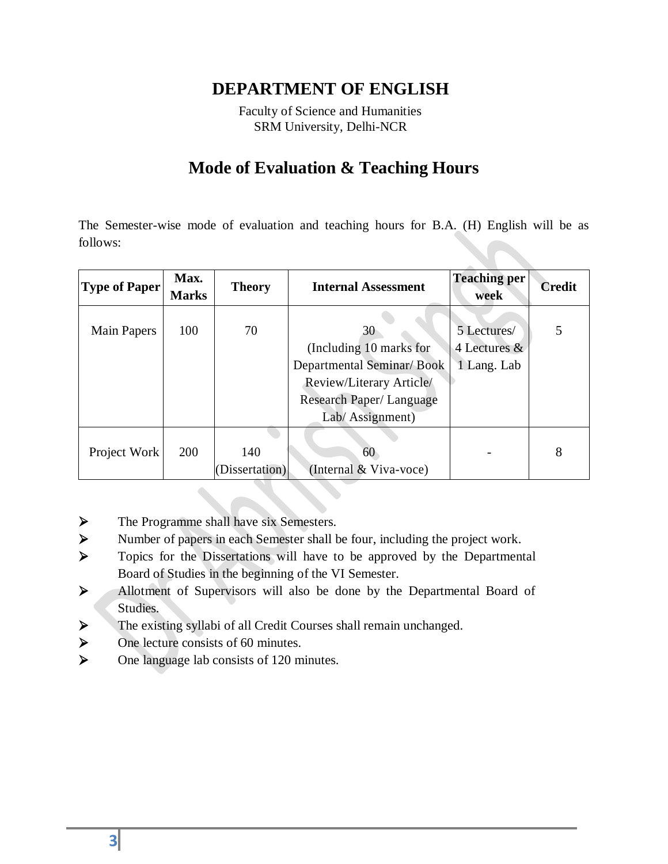Faculty of Science and Humanities SRM University, Delhi-NCR

# **Mode of Evaluation & Teaching Hours**

The Semester-wise mode of evaluation and teaching hours for B.A. (H) English will be as follows:

| <b>Type of Paper</b> | Max.<br><b>Marks</b> | <b>Theory</b>  | <b>Internal Assessment</b>                           | <b>Teaching per</b><br>week | <b>Credit</b> |
|----------------------|----------------------|----------------|------------------------------------------------------|-----------------------------|---------------|
| Main Papers          | 100                  | 70             | 30                                                   | 5 Lectures/<br>4 Lectures & |               |
|                      |                      |                | (Including 10 marks for<br>Departmental Seminar/Book | 1 Lang. Lab                 |               |
|                      |                      |                | Review/Literary Article/                             |                             |               |
|                      |                      |                | Research Paper/Language                              |                             |               |
|                      |                      |                | Lab/ Assignment)                                     |                             |               |
|                      |                      |                |                                                      |                             |               |
| Project Work         | 200                  | 140            | 60                                                   |                             | 8             |
|                      |                      | (Dissertation) | (Internal & Viva-voce)                               |                             |               |

- > The Programme shall have six Semesters.
- Number of papers in each Semester shall be four, including the project work.
- > Topics for the Dissertations will have to be approved by the Departmental Board of Studies in the beginning of the VI Semester.
- Allotment of Supervisors will also be done by the Departmental Board of Studies.
- $\triangleright$  The existing syllabi of all Credit Courses shall remain unchanged.
- $\triangleright$  One lecture consists of 60 minutes.
- $\triangleright$  One language lab consists of 120 minutes.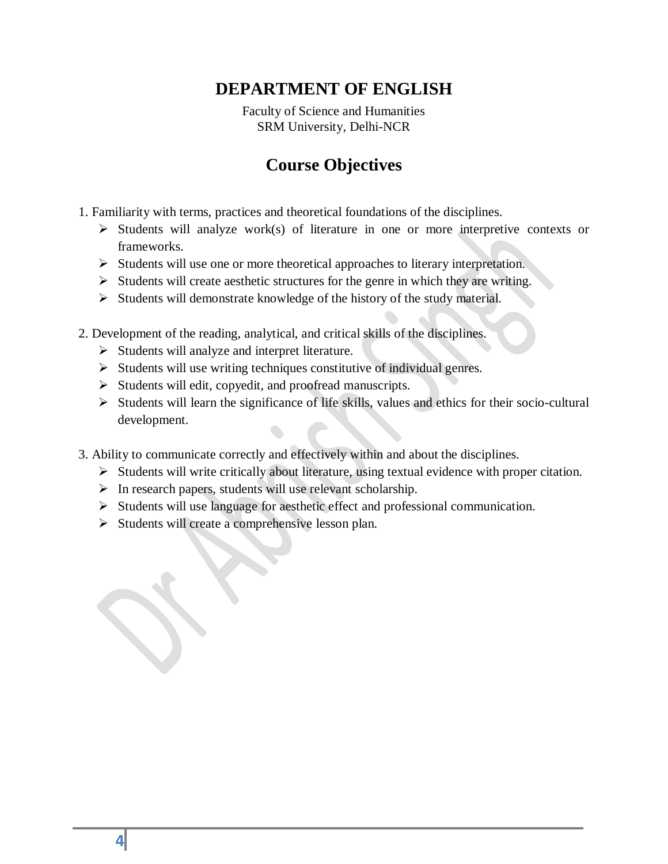Faculty of Science and Humanities SRM University, Delhi-NCR

# **Course Objectives**

- 1. Familiarity with terms, practices and theoretical foundations of the disciplines.
	- $\triangleright$  Students will analyze work(s) of literature in one or more interpretive contexts or frameworks.
	- $\triangleright$  Students will use one or more theoretical approaches to literary interpretation.
	- $\triangleright$  Students will create aesthetic structures for the genre in which they are writing.
	- $\triangleright$  Students will demonstrate knowledge of the history of the study material.
- 2. Development of the reading, analytical, and critical skills of the disciplines.
	- $\triangleright$  Students will analyze and interpret literature.
	- $\triangleright$  Students will use writing techniques constitutive of individual genres.
	- $\triangleright$  Students will edit, copyedit, and proofread manuscripts.
	- $\triangleright$  Students will learn the significance of life skills, values and ethics for their socio-cultural development.
- 3. Ability to communicate correctly and effectively within and about the disciplines.
	- $\triangleright$  Students will write critically about literature, using textual evidence with proper citation.
	- $\triangleright$  In research papers, students will use relevant scholarship.
	- $\triangleright$  Students will use language for aesthetic effect and professional communication.
	- $\triangleright$  Students will create a comprehensive lesson plan.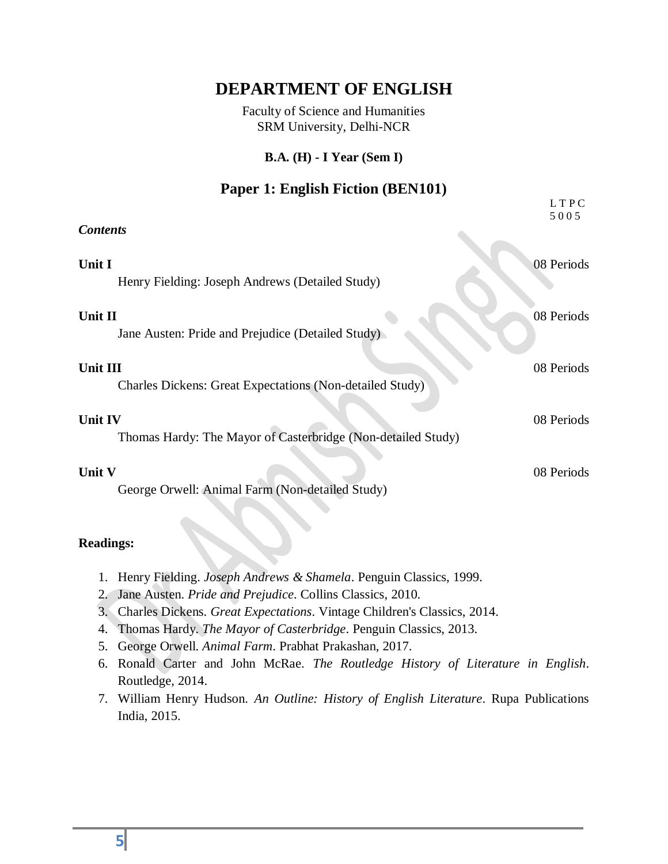Faculty of Science and Humanities SRM University, Delhi-NCR

#### **B.A. (H) - I Year (Sem I)**

### **Paper 1: English Fiction (BEN101)**

|                                                                             | LTPC<br>5005 |
|-----------------------------------------------------------------------------|--------------|
| <b>Contents</b>                                                             |              |
| Unit I<br>Henry Fielding: Joseph Andrews (Detailed Study)                   | 08 Periods   |
| Unit II<br>Jane Austen: Pride and Prejudice (Detailed Study)                | 08 Periods   |
| Unit III<br><b>Charles Dickens: Great Expectations (Non-detailed Study)</b> | 08 Periods   |
| Unit IV<br>Thomas Hardy: The Mayor of Casterbridge (Non-detailed Study)     | 08 Periods   |
| Unit V<br>George Orwell: Animal Farm (Non-detailed Study)                   | 08 Periods   |

- 1. Henry Fielding. *Joseph Andrews & Shamela*. Penguin Classics, 1999.
- 2. Jane Austen. *Pride and Prejudice*. Collins Classics, 2010.
- 3. Charles Dickens. *Great Expectations*. Vintage Children's Classics, 2014.
- 4. Thomas Hardy. *The Mayor of Casterbridge*. Penguin Classics, 2013.
- 5. George Orwell. *Animal Farm*. Prabhat Prakashan, 2017.
- 6. Ronald Carter and John McRae. *The Routledge History of Literature in English*. Routledge, 2014.
- 7. William Henry Hudson. *An Outline: History of English Literature*. Rupa Publications India, 2015.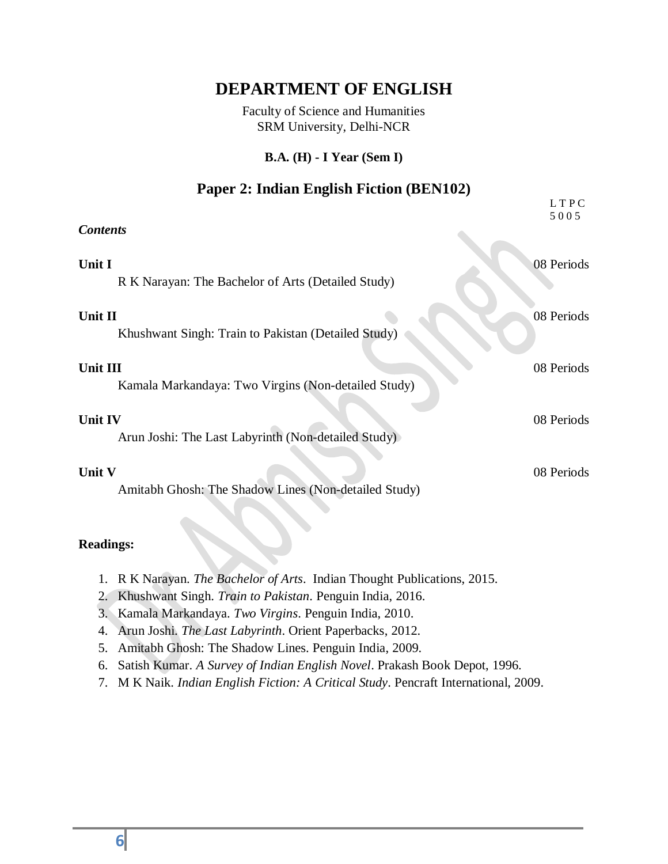Faculty of Science and Humanities SRM University, Delhi-NCR

#### **B.A. (H) - I Year (Sem I)**

### **Paper 2: Indian English Fiction (BEN102)**

|                                                      | LTPC<br>5005 |
|------------------------------------------------------|--------------|
| <b>Contents</b>                                      |              |
| Unit I                                               | 08 Periods   |
| R K Narayan: The Bachelor of Arts (Detailed Study)   |              |
| Unit II                                              | 08 Periods   |
| Khushwant Singh: Train to Pakistan (Detailed Study)  |              |
| <b>Unit III</b>                                      | 08 Periods   |
| Kamala Markandaya: Two Virgins (Non-detailed Study)  |              |
| Unit IV                                              | 08 Periods   |
| Arun Joshi: The Last Labyrinth (Non-detailed Study)  |              |
| <b>Unit V</b>                                        | 08 Periods   |
| Amitabh Ghosh: The Shadow Lines (Non-detailed Study) |              |

- 1. R K Narayan. *The Bachelor of Arts*. Indian Thought Publications, 2015.
- 2. Khushwant Singh. *Train to Pakistan*. Penguin India, 2016.
- 3. Kamala Markandaya. *Two Virgins*. Penguin India, 2010.
- 4. Arun Joshi. *The Last Labyrinth*. Orient Paperbacks, 2012.
- 5. Amitabh Ghosh: The Shadow Lines. Penguin India, 2009.
- 6. Satish Kumar. *A Survey of Indian English Novel*. Prakash Book Depot, 1996.
- 7. M K Naik. *Indian English Fiction: A Critical Study*. Pencraft International, 2009.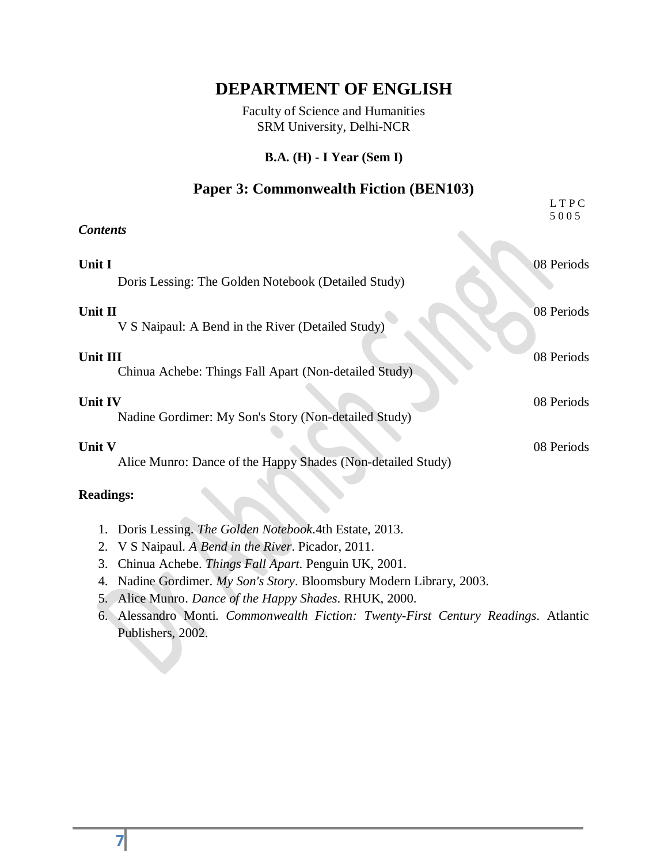Faculty of Science and Humanities SRM University, Delhi-NCR

#### **B.A. (H) - I Year (Sem I)**

### **Paper 3: Commonwealth Fiction (BEN103)**

| LTPC<br>5005 |
|--------------|
|              |
| 08 Periods   |
| 08 Periods   |
| 08 Periods   |
| 08 Periods   |
| 08 Periods   |
|              |

- 1. Doris Lessing. *The Golden Notebook*.4th Estate, 2013.
- 2. V S Naipaul. *A Bend in the River*. Picador, 2011.
- 3. Chinua Achebe. *Things Fall Apart*. Penguin UK, 2001.
- 4. Nadine Gordimer. *My Son's Story*. Bloomsbury Modern Library, 2003.
- 5. Alice Munro. *Dance of the Happy Shades*. RHUK, 2000.
- 6. Alessandro Monti. *Commonwealth Fiction: Twenty-First Century Readings*. Atlantic Publishers, 2002.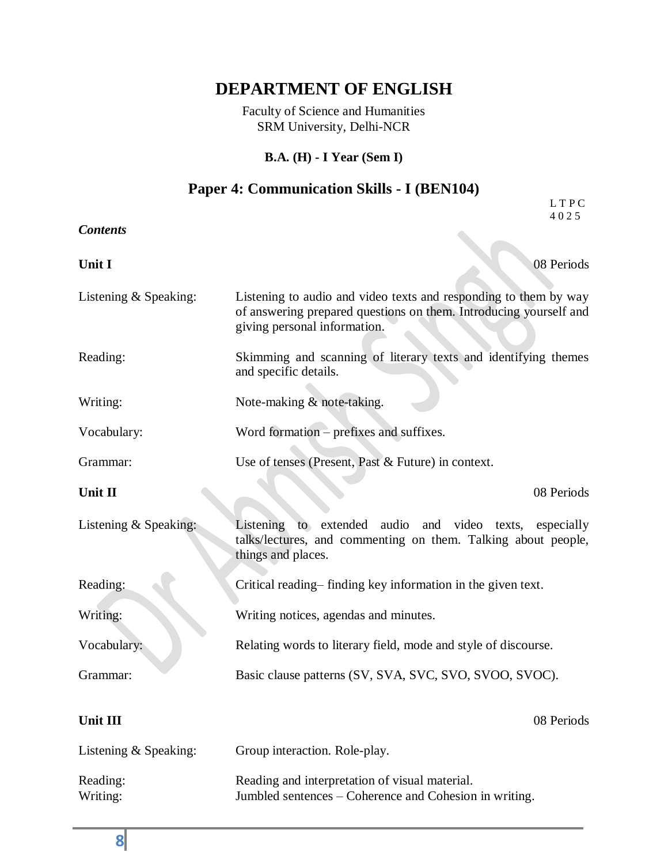Faculty of Science and Humanities SRM University, Delhi-NCR

#### **B.A. (H) - I Year (Sem I)**

#### **Paper 4: Communication Skills - I (BEN104)** L T P C

| <b>Contents</b>         | 4025                                                                                                                                                                  |
|-------------------------|-----------------------------------------------------------------------------------------------------------------------------------------------------------------------|
| Unit I                  | 08 Periods                                                                                                                                                            |
| Listening $&$ Speaking: | Listening to audio and video texts and responding to them by way<br>of answering prepared questions on them. Introducing yourself and<br>giving personal information. |
| Reading:                | Skimming and scanning of literary texts and identifying themes<br>and specific details.                                                                               |
| Writing:                | Note-making & note-taking.                                                                                                                                            |
| Vocabulary:             | Word formation – prefixes and suffixes.                                                                                                                               |
| Grammar:                | Use of tenses (Present, Past & Future) in context.                                                                                                                    |
| Unit II                 | 08 Periods                                                                                                                                                            |
| Listening & Speaking:   | to extended audio and video<br>Listening<br>texts,<br>especially<br>talks/lectures, and commenting on them. Talking about people,<br>things and places.               |
| Reading:                | Critical reading–finding key information in the given text.                                                                                                           |
| Writing:                | Writing notices, agendas and minutes.                                                                                                                                 |
| Vocabulary:             | Relating words to literary field, mode and style of discourse.                                                                                                        |
| Grammar:                | Basic clause patterns (SV, SVA, SVC, SVO, SVOO, SVOC).                                                                                                                |
| Unit III                | 08 Periods                                                                                                                                                            |
| Listening $&$ Speaking: | Group interaction. Role-play.                                                                                                                                         |
| Reading:<br>Writing:    | Reading and interpretation of visual material.<br>Jumbled sentences – Coherence and Cohesion in writing.                                                              |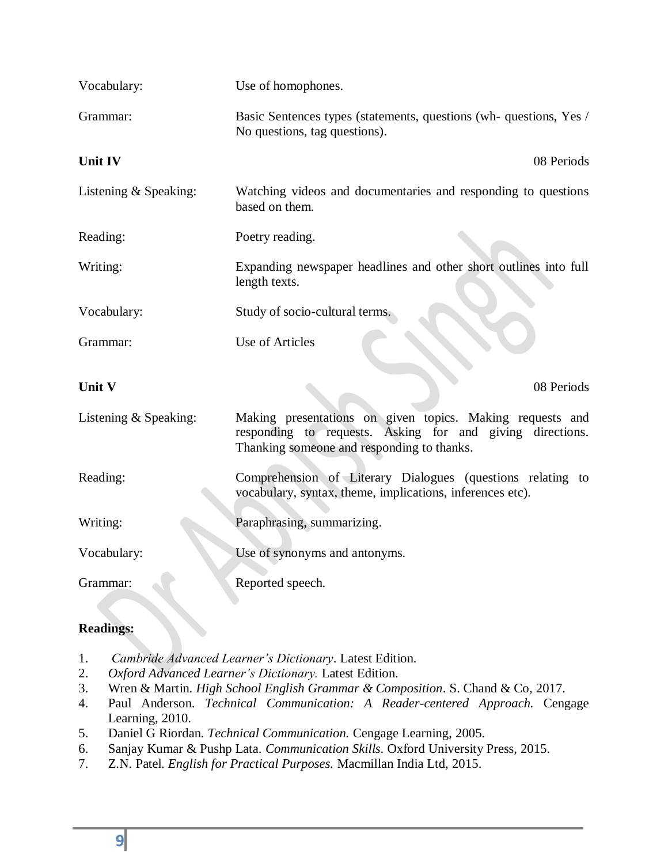| Vocabulary:             | Use of homophones.                                                                                                                                                   |
|-------------------------|----------------------------------------------------------------------------------------------------------------------------------------------------------------------|
| Grammar:                | Basic Sentences types (statements, questions (wh- questions, Yes /<br>No questions, tag questions).                                                                  |
| Unit IV                 | 08 Periods                                                                                                                                                           |
| Listening $&$ Speaking: | Watching videos and documentaries and responding to questions<br>based on them.                                                                                      |
| Reading:                | Poetry reading.                                                                                                                                                      |
| Writing:                | Expanding newspaper headlines and other short outlines into full<br>length texts.                                                                                    |
| Vocabulary:             | Study of socio-cultural terms.                                                                                                                                       |
| Grammar:                | <b>Use of Articles</b>                                                                                                                                               |
| Unit V                  | 08 Periods                                                                                                                                                           |
| Listening $&$ Speaking: | Making presentations on given topics. Making requests and<br>responding to requests. Asking for and giving directions.<br>Thanking someone and responding to thanks. |
| Reading:                | Comprehension of Literary Dialogues (questions relating to<br>vocabulary, syntax, theme, implications, inferences etc).                                              |
| Writing:                | Paraphrasing, summarizing.                                                                                                                                           |
| Vocabulary:             | Use of synonyms and antonyms.                                                                                                                                        |
| Grammar:                | Reported speech.                                                                                                                                                     |

- 1. *Cambride Advanced Learner's Dictionary*. Latest Edition.
- 2. *Oxford Advanced Learner's Dictionary.* Latest Edition.
- 3. Wren & Martin. *High School English Grammar & Composition*. S. Chand & Co, 2017.
- 4. Paul Anderson. *Technical Communication: A Reader-centered Approach.* Cengage Learning, 2010.
- 5. Daniel G Riordan. *Technical Communication.* Cengage Learning, 2005.
- 6. Sanjay Kumar & Pushp Lata. *Communication Skills*. Oxford University Press, 2015.
- 7. Z.N. Patel. *English for Practical Purposes.* Macmillan India Ltd, 2015.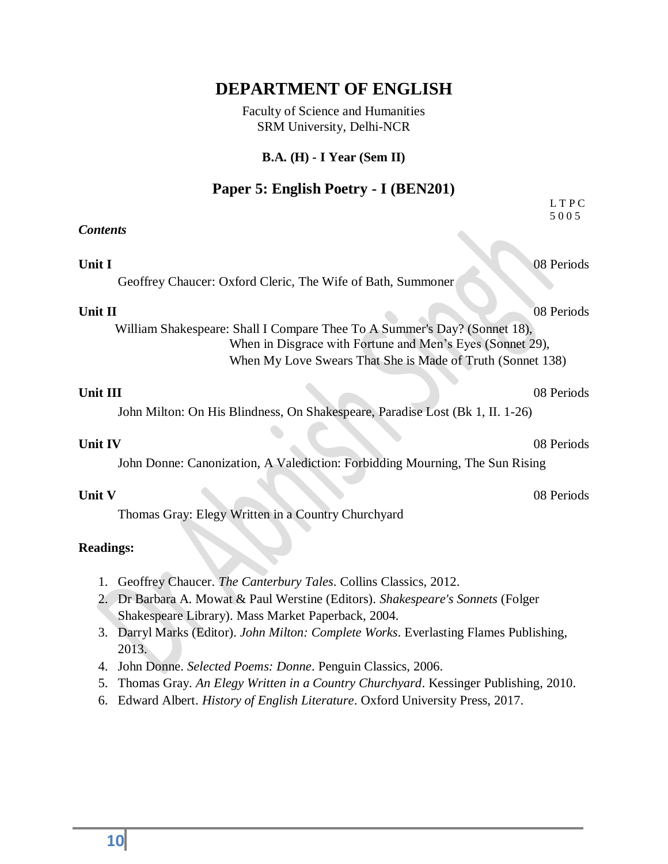Faculty of Science and Humanities SRM University, Delhi-NCR

#### **B.A. (H) - I Year (Sem II)**

#### **Paper 5: English Poetry - I (BEN201)** L T P C

5 0 0 5

#### *Contents*

**Unit I** 08 Periods

Geoffrey Chaucer: Oxford Cleric, The Wife of Bath, Summoner

 William Shakespeare: Shall I Compare Thee To A Summer's Day? (Sonnet 18), When in Disgrace with Fortune and Men's Eyes (Sonnet 29), When My Love Swears That She is Made of Truth (Sonnet 138)

#### **Unit III** 08 Periods

John Milton: On His Blindness, On Shakespeare, Paradise Lost (Bk 1, II. 1-26)

#### **Unit IV** 08 Periods

John Donne: Canonization, A Valediction: Forbidding Mourning, The Sun Rising

Thomas Gray: Elegy Written in a Country Churchyard

#### **Readings:**

- 1. Geoffrey Chaucer. *The Canterbury Tales*. Collins Classics, 2012.
- 2. Dr Barbara A. Mowat & Paul Werstine (Editors). *Shakespeare's Sonnets* (Folger Shakespeare Library). Mass Market Paperback, 2004.
- 3. Darryl Marks (Editor). *John Milton: Complete Works*. Everlasting Flames Publishing, 2013.
- 4. John Donne. *Selected Poems: Donne*. Penguin Classics, 2006.
- 5. Thomas Gray. *An Elegy Written in a Country Churchyard*. Kessinger Publishing, 2010.
- 6. Edward Albert. *History of English Literature*. Oxford University Press, 2017.

**Unit II** 08 Periods

**Unit V** 08 Periods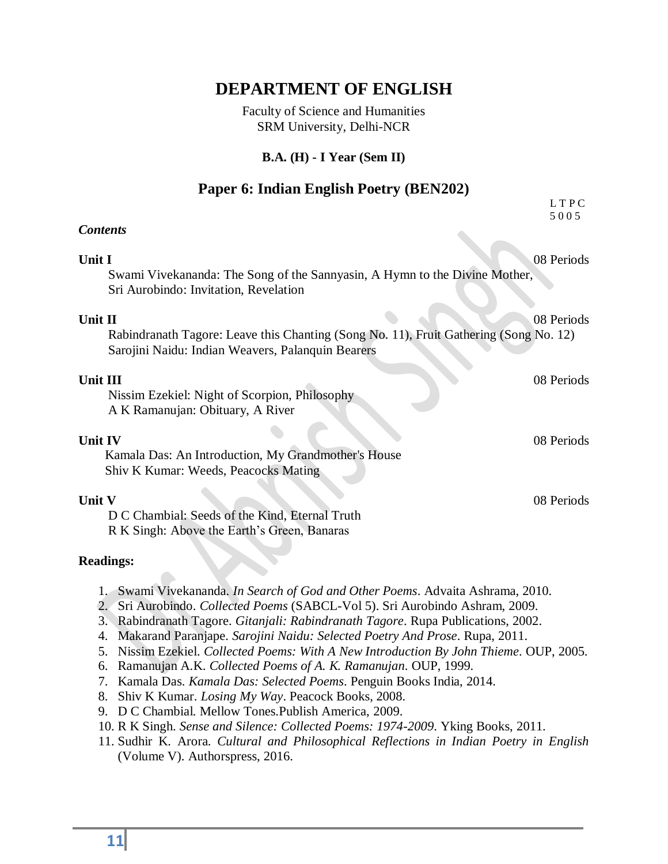Faculty of Science and Humanities SRM University, Delhi-NCR

#### **B.A. (H) - I Year (Sem II)**

#### **Paper 6: Indian English Poetry (BEN202)** L T P C

|                                                                                                                                                       | 5005       |
|-------------------------------------------------------------------------------------------------------------------------------------------------------|------------|
| <b>Contents</b>                                                                                                                                       |            |
| Unit I<br>Swami Vivekananda: The Song of the Sannyasin, A Hymn to the Divine Mother,<br>Sri Aurobindo: Invitation, Revelation                         | 08 Periods |
| Unit II<br>Rabindranath Tagore: Leave this Chanting (Song No. 11), Fruit Gathering (Song No. 12)<br>Sarojini Naidu: Indian Weavers, Palanquin Bearers | 08 Periods |
| Unit III<br>Nissim Ezekiel: Night of Scorpion, Philosophy<br>A K Ramanujan: Obituary, A River                                                         | 08 Periods |
| Unit IV<br>Kamala Das: An Introduction, My Grandmother's House<br>Shiv K Kumar: Weeds, Peacocks Mating                                                | 08 Periods |
| Unit V<br>D C Chambial: Seeds of the Kind, Eternal Truth<br>R K Singh: Above the Earth's Green, Banaras                                               | 08 Periods |
| <b>Readings:</b>                                                                                                                                      |            |

- 1. Swami Vivekananda. *In Search of God and Other Poems*. Advaita Ashrama, 2010.
- 2. Sri Aurobindo. *Collected Poems* (SABCL-Vol 5). Sri Aurobindo Ashram, 2009.
- 3. Rabindranath Tagore. *Gitanjali: Rabindranath Tagore*. Rupa Publications, 2002.
- 4. Makarand Paranjape. *Sarojini Naidu: Selected Poetry And Prose*. Rupa, 2011.
- 5. Nissim Ezekiel. *Collected Poems: With A New Introduction By John Thieme*. OUP, 2005.
- 6. Ramanujan A.K. *Collected Poems of A. K. Ramanujan*. OUP, 1999.
- 7. Kamala Das. *Kamala Das: Selected Poems*. Penguin Books India, 2014.
- 8. Shiv K Kumar. *Losing My Way*. Peacock Books, 2008.
- 9. D C Chambial. Mellow Tones.Publish America, 2009.
- 10. R K Singh. *Sense and Silence: Collected Poems: 1974-2009*. Yking Books, 2011.
- 11. Sudhir K. Arora. *Cultural and Philosophical Reflections in Indian Poetry in English* (Volume V). Authorspress, 2016.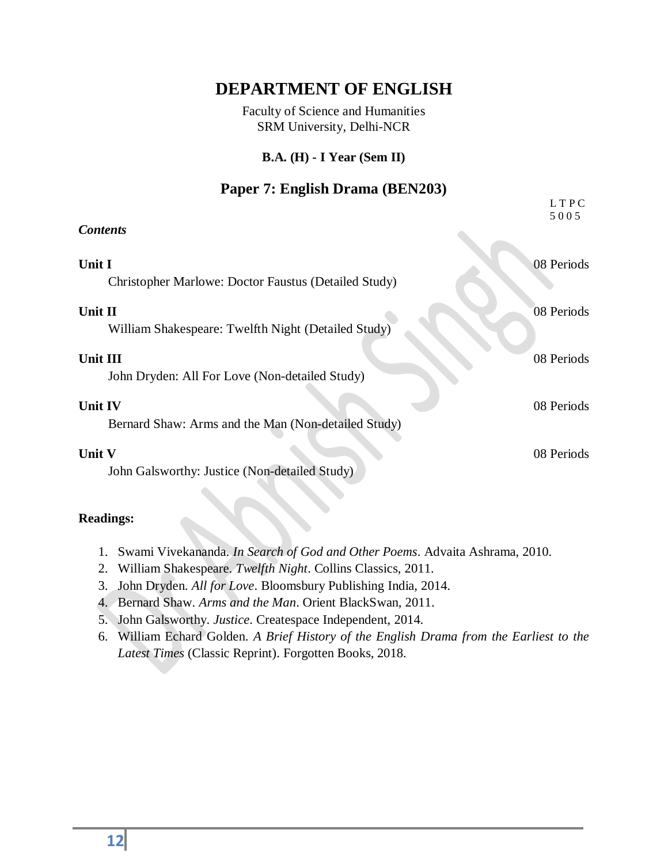Faculty of Science and Humanities SRM University, Delhi-NCR

#### **B.A. (H) - I Year (Sem II)**

### **Paper 7: English Drama (BEN203)**

|                                                                       | LTPC<br>5005 |
|-----------------------------------------------------------------------|--------------|
| <b>Contents</b>                                                       |              |
| Unit I<br>Christopher Marlowe: Doctor Faustus (Detailed Study)        | 08 Periods   |
| Unit II<br>William Shakespeare: Twelfth Night (Detailed Study)        | 08 Periods   |
| <b>Unit III</b><br>John Dryden: All For Love (Non-detailed Study)     | 08 Periods   |
| <b>Unit IV</b><br>Bernard Shaw: Arms and the Man (Non-detailed Study) | 08 Periods   |
| <b>Unit V</b><br>John Galsworthy: Justice (Non-detailed Study)        | 08 Periods   |

- 1. Swami Vivekananda. *In Search of God and Other Poems*. Advaita Ashrama, 2010.
- 2. William Shakespeare. *Twelfth Night*. Collins Classics, 2011.
- 3. John Dryden. *All for Love*. Bloomsbury Publishing India, 2014.
- 4. Bernard Shaw. *Arms and the Man*. Orient BlackSwan, 2011.
- 5. John Galsworthy. *Justice*. Createspace Independent, 2014.
- 6. William Echard Golden. *A Brief History of the English Drama from the Earliest to the Latest Times* (Classic Reprint). Forgotten Books, 2018.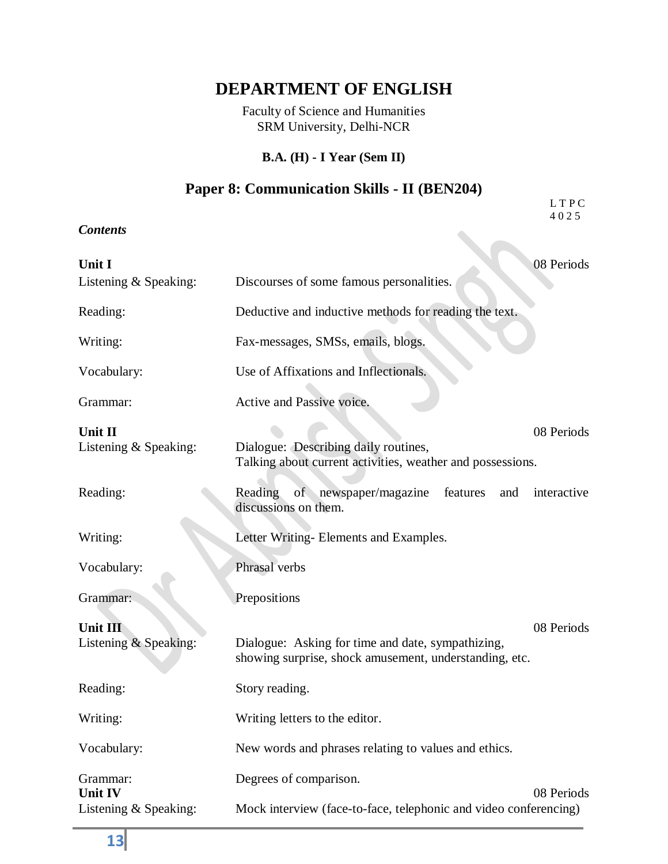Faculty of Science and Humanities SRM University, Delhi-NCR

#### **B.A. (H) - I Year (Sem II)**

#### **Paper 8: Communication Skills - II (BEN204)** L T P C

4 0 2 5

*Contents*

| <b>Contents</b>                   |                                                                                                                           |  |
|-----------------------------------|---------------------------------------------------------------------------------------------------------------------------|--|
| Unit I<br>Listening $&$ Speaking: | 08 Periods<br>Discourses of some famous personalities.                                                                    |  |
| Reading:                          | Deductive and inductive methods for reading the text.                                                                     |  |
| Writing:                          | Fax-messages, SMSs, emails, blogs.                                                                                        |  |
| Vocabulary:                       | Use of Affixations and Inflectionals.                                                                                     |  |
| Grammar:                          | Active and Passive voice.                                                                                                 |  |
| Unit II<br>Listening & Speaking:  | 08 Periods<br>Dialogue: Describing daily routines,<br>Talking about current activities, weather and possessions.          |  |
| Reading:                          | of newspaper/magazine features<br>interactive<br>Reading<br>and<br>discussions on them.                                   |  |
| Writing:                          | Letter Writing- Elements and Examples.                                                                                    |  |
| Vocabulary:                       | Phrasal verbs                                                                                                             |  |
| Grammar:                          | Prepositions                                                                                                              |  |
| Unit III<br>Listening & Speaking: | 08 Periods<br>Dialogue: Asking for time and date, sympathizing,<br>showing surprise, shock amusement, understanding, etc. |  |
| Reading:                          | Story reading.                                                                                                            |  |
| Writing:                          | Writing letters to the editor.                                                                                            |  |
| Vocabulary:                       | New words and phrases relating to values and ethics.                                                                      |  |
| Grammar:<br>Unit IV               | Degrees of comparison.<br>08 Periods                                                                                      |  |
| Listening & Speaking:             | Mock interview (face-to-face, telephonic and video conferencing)                                                          |  |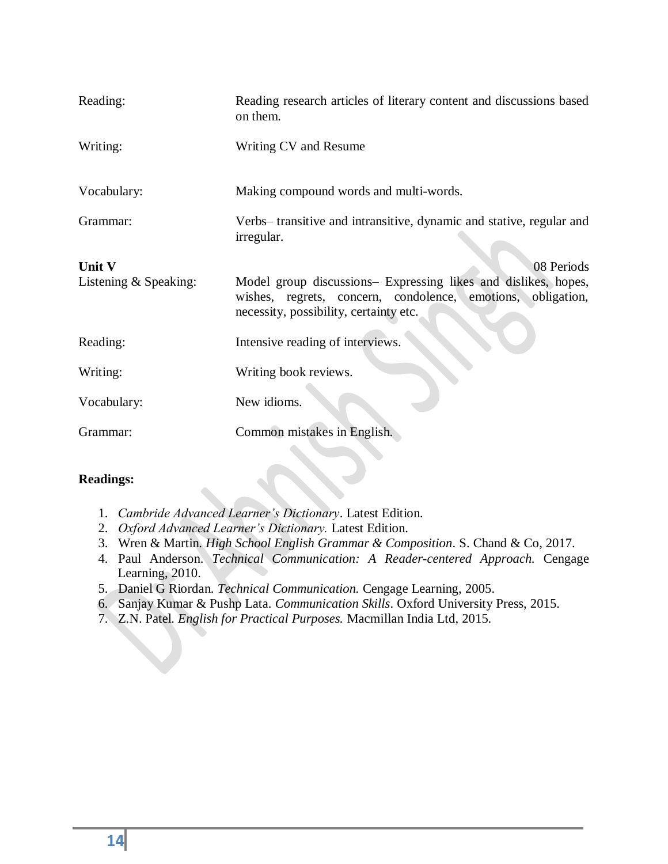| Reading:                          | Reading research articles of literary content and discussions based<br>on them.                                                                                                       |
|-----------------------------------|---------------------------------------------------------------------------------------------------------------------------------------------------------------------------------------|
| Writing:                          | Writing CV and Resume                                                                                                                                                                 |
| Vocabulary:                       | Making compound words and multi-words.                                                                                                                                                |
| Grammar:                          | Verbs- transitive and intransitive, dynamic and stative, regular and<br>irregular.                                                                                                    |
| Unit V<br>Listening $&$ Speaking: | 08 Periods<br>Model group discussions- Expressing likes and dislikes, hopes,<br>wishes, regrets, concern, condolence, emotions, obligation,<br>necessity, possibility, certainty etc. |
| Reading:                          | Intensive reading of interviews.                                                                                                                                                      |
| Writing:                          | Writing book reviews.                                                                                                                                                                 |
| Vocabulary:                       | New idioms.                                                                                                                                                                           |
| Grammar:                          | Common mistakes in English.                                                                                                                                                           |

- 1. *Cambride Advanced Learner's Dictionary*. Latest Edition.
- 2. *Oxford Advanced Learner's Dictionary.* Latest Edition.
- 3. Wren & Martin. *High School English Grammar & Composition*. S. Chand & Co, 2017.
- 4. Paul Anderson. *Technical Communication: A Reader-centered Approach.* Cengage Learning, 2010.
- 5. Daniel G Riordan. *Technical Communication.* Cengage Learning, 2005.
- 6. Sanjay Kumar & Pushp Lata. *Communication Skills*. Oxford University Press, 2015.
- 7. Z.N. Patel. *English for Practical Purposes.* Macmillan India Ltd, 2015.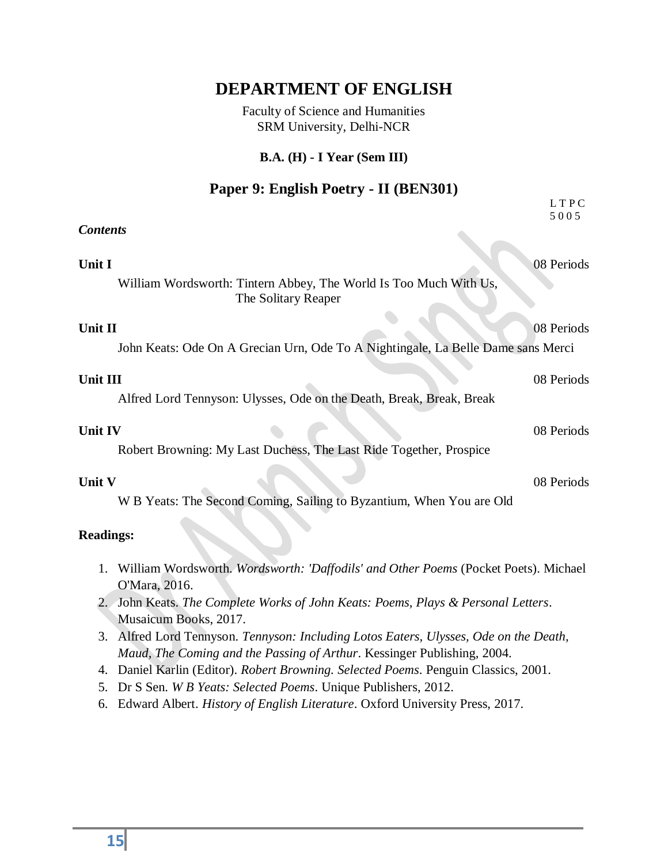Faculty of Science and Humanities SRM University, Delhi-NCR

#### **B.A. (H) - I Year (Sem III)**

## **Paper 9: English Poetry - II (BEN301)**

|                                                                                                            | LTPC<br>5005 |
|------------------------------------------------------------------------------------------------------------|--------------|
| <b>Contents</b>                                                                                            |              |
| Unit I                                                                                                     | 08 Periods   |
| William Wordsworth: Tintern Abbey, The World Is Too Much With Us,<br>The Solitary Reaper                   |              |
| Unit II                                                                                                    | 08 Periods   |
| John Keats: Ode On A Grecian Urn, Ode To A Nightingale, La Belle Dame sans Merci                           |              |
| Unit III                                                                                                   | 08 Periods   |
| Alfred Lord Tennyson: Ulysses, Ode on the Death, Break, Break, Break                                       |              |
| Unit IV                                                                                                    | 08 Periods   |
| Robert Browning: My Last Duchess, The Last Ride Together, Prospice                                         |              |
| Unit V                                                                                                     | 08 Periods   |
| W B Yeats: The Second Coming, Sailing to Byzantium, When You are Old                                       |              |
| <b>Readings:</b>                                                                                           |              |
| 1.<br>William Wordsworth. Wordsworth: 'Daffodils' and Other Poems (Pocket Poets). Michael<br>O'Mara, 2016. |              |
| John Keats. The Complete Works of John Keats: Poems, Plays & Personal Letters.<br>Musaicum Books, 2017.    |              |

- 3. Alfred Lord Tennyson. *Tennyson: Including Lotos Eaters, Ulysses, Ode on the Death, Maud, The Coming and the Passing of Arthur*. Kessinger Publishing, 2004.
- 4. Daniel Karlin (Editor). *Robert Browning. Selected Poems*. Penguin Classics, 2001.
- 5. Dr S Sen. *W B Yeats: Selected Poems*. Unique Publishers, 2012.
- 6. Edward Albert. *History of English Literature*. Oxford University Press, 2017.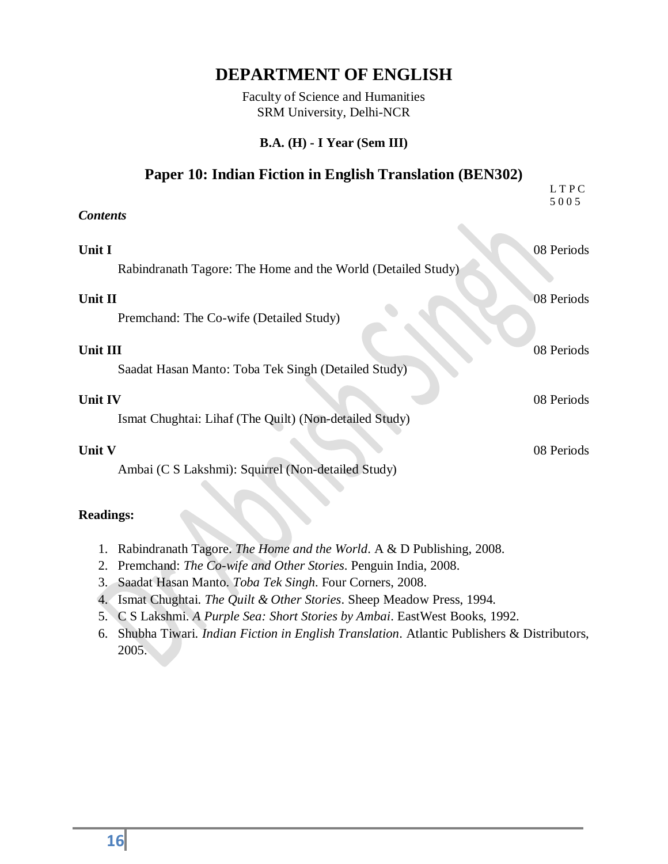Faculty of Science and Humanities SRM University, Delhi-NCR

#### **B.A. (H) - I Year (Sem III)**

#### **Paper 10: Indian Fiction in English Translation (BEN302)**

|                                                                          | LTPC<br>5005 |
|--------------------------------------------------------------------------|--------------|
| <b>Contents</b>                                                          |              |
| Unit I<br>Rabindranath Tagore: The Home and the World (Detailed Study)   | 08 Periods   |
| Unit II                                                                  | 08 Periods   |
| Premchand: The Co-wife (Detailed Study)                                  |              |
| Unit III                                                                 | 08 Periods   |
| Saadat Hasan Manto: Toba Tek Singh (Detailed Study)                      |              |
| <b>Unit IV</b><br>Ismat Chughtai: Lihaf (The Quilt) (Non-detailed Study) | 08 Periods   |
| Unit V                                                                   | 08 Periods   |
| Ambai (C S Lakshmi): Squirrel (Non-detailed Study)                       |              |
|                                                                          |              |

- 1. Rabindranath Tagore. *The Home and the World*. A & D Publishing, 2008.
- 2. Premchand: *The Co-wife and Other Stories*. Penguin India, 2008.
- 3. Saadat Hasan Manto. *Toba Tek Singh*. Four Corners, 2008.
- 4. Ismat Chughtai. *The Quilt & Other Stories*. Sheep Meadow Press, 1994.
- 5. C S Lakshmi. *A Purple Sea: Short Stories by Ambai*. EastWest Books, 1992.
- 6. Shubha Tiwari. *Indian Fiction in English Translation*. Atlantic Publishers & Distributors, 2005.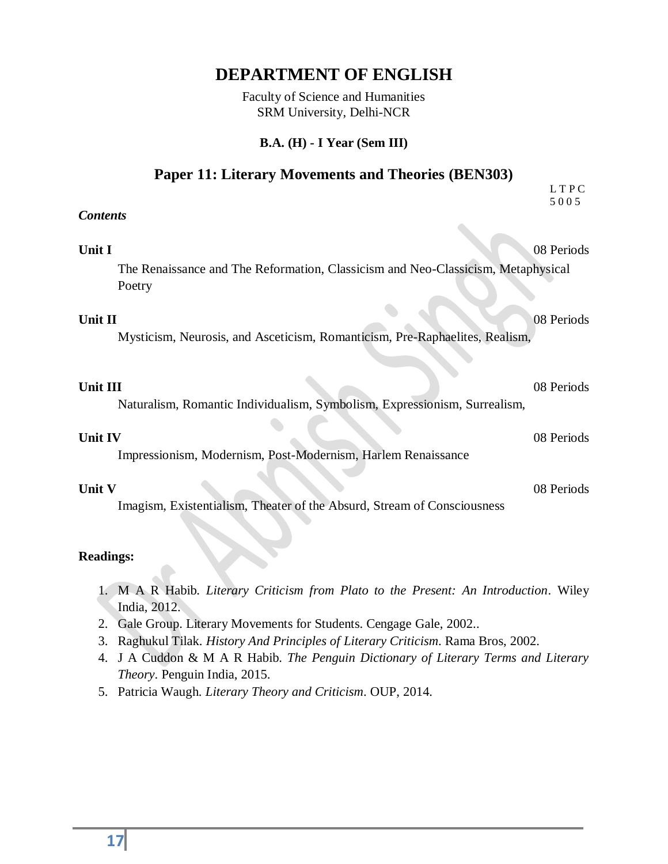Faculty of Science and Humanities SRM University, Delhi-NCR

#### **B.A. (H) - I Year (Sem III)**

#### **Paper 11: Literary Movements and Theories (BEN303)**

|                                                                                            | LTPC<br>5005 |
|--------------------------------------------------------------------------------------------|--------------|
| <b>Contents</b>                                                                            |              |
| Unit I                                                                                     | 08 Periods   |
| The Renaissance and The Reformation, Classicism and Neo-Classicism, Metaphysical<br>Poetry |              |
| Unit II<br>Mysticism, Neurosis, and Asceticism, Romanticism, Pre-Raphaelites, Realism,     | 08 Periods   |
| Unit III<br>Naturalism, Romantic Individualism, Symbolism, Expressionism, Surrealism,      | 08 Periods   |
| <b>Unit IV</b><br>Impressionism, Modernism, Post-Modernism, Harlem Renaissance             | 08 Periods   |
| Unit V<br>Imagism, Existentialism, Theater of the Absurd, Stream of Consciousness          | 08 Periods   |
| <b>Readings:</b>                                                                           |              |

- 1. M A R Habib. *Literary Criticism from Plato to the Present: An Introduction*. Wiley India, 2012.
- 2. Gale Group. Literary Movements for Students. Cengage Gale, 2002..
- 3. Raghukul Tilak. *History And Principles of Literary Criticism*. Rama Bros, 2002.
- 4. J A Cuddon & M A R Habib. *The Penguin Dictionary of Literary Terms and Literary Theory*. Penguin India, 2015.
- 5. Patricia Waugh. *Literary Theory and Criticism*. OUP, 2014.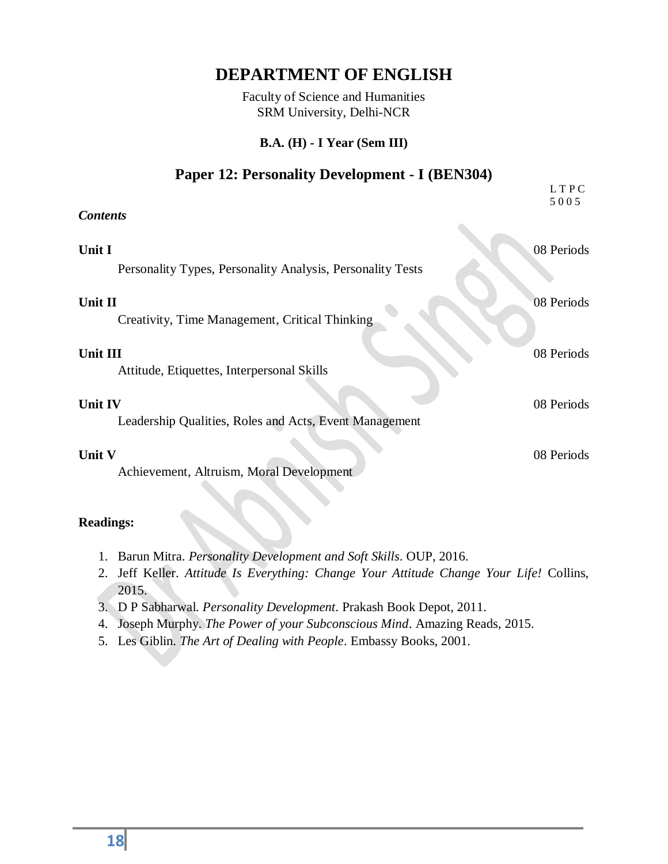Faculty of Science and Humanities SRM University, Delhi-NCR

#### **B.A. (H) - I Year (Sem III)**

#### **Paper 12: Personality Development - I (BEN304)**

|                                                                          | LTPC<br>5005 |
|--------------------------------------------------------------------------|--------------|
| <b>Contents</b>                                                          |              |
| Unit I<br>Personality Types, Personality Analysis, Personality Tests     | 08 Periods   |
| Unit II<br>Creativity, Time Management, Critical Thinking                | 08 Periods   |
| Unit III<br>Attitude, Etiquettes, Interpersonal Skills                   | 08 Periods   |
| <b>Unit IV</b><br>Leadership Qualities, Roles and Acts, Event Management | 08 Periods   |
| <b>Unit V</b><br>Achievement, Altruism, Moral Development                | 08 Periods   |
|                                                                          |              |

- 1. Barun Mitra. *Personality Development and Soft Skills*. OUP, 2016.
- 2. Jeff Keller. *Attitude Is Everything: Change Your Attitude Change Your Life!* Collins, 2015.
- 3. D P Sabharwal. *Personality Development*. Prakash Book Depot, 2011.
- 4. Joseph Murphy. *The Power of your Subconscious Mind*. Amazing Reads, 2015.
- 5. Les Giblin. *The Art of Dealing with People*. Embassy Books, 2001.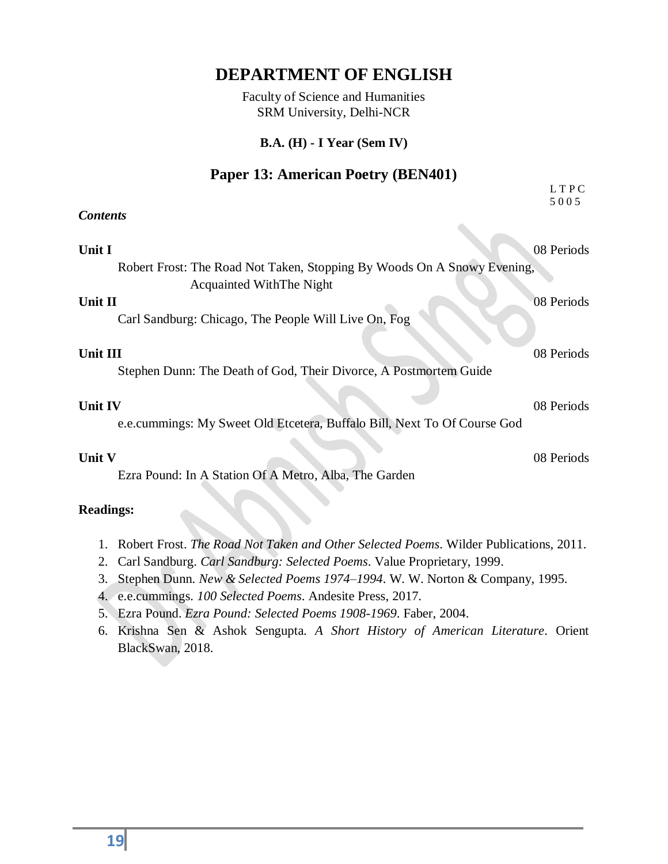Faculty of Science and Humanities SRM University, Delhi-NCR

#### **B.A. (H) - I Year (Sem IV)**

#### **Paper 13: American Poetry (BEN401)**

|                                                                                                     | LTPC<br>5005 |
|-----------------------------------------------------------------------------------------------------|--------------|
| <b>Contents</b>                                                                                     |              |
|                                                                                                     |              |
| Unit I                                                                                              | 08 Periods   |
| Robert Frost: The Road Not Taken, Stopping By Woods On A Snowy Evening,<br>Acquainted WithThe Night |              |
| Unit II                                                                                             | 08 Periods   |
| Carl Sandburg: Chicago, The People Will Live On, Fog                                                |              |
| Unit III                                                                                            | 08 Periods   |
| Stephen Dunn: The Death of God, Their Divorce, A Postmortem Guide                                   |              |
| <b>Unit IV</b>                                                                                      | 08 Periods   |
| e.e.cummings: My Sweet Old Etcetera, Buffalo Bill, Next To Of Course God                            |              |
| Unit V                                                                                              | 08 Periods   |
| Ezra Pound: In A Station Of A Metro, Alba, The Garden                                               |              |
| <b>Readings:</b>                                                                                    |              |

- 1. Robert Frost. *The Road Not Taken and Other Selected Poems*. Wilder Publications, 2011.
- 2. Carl Sandburg. *Carl Sandburg: Selected Poems*. Value Proprietary, 1999.
- 3. Stephen Dunn. *New & Selected Poems 1974–1994*. W. W. Norton & Company, 1995.
- 4. e.e.cummings. *100 Selected Poems*. Andesite Press, 2017.
- 5. Ezra Pound. *Ezra Pound: Selected Poems 1908-1969*. Faber, 2004.
- 6. Krishna Sen & Ashok Sengupta. *A Short History of American Literature*. Orient BlackSwan, 2018.

**19**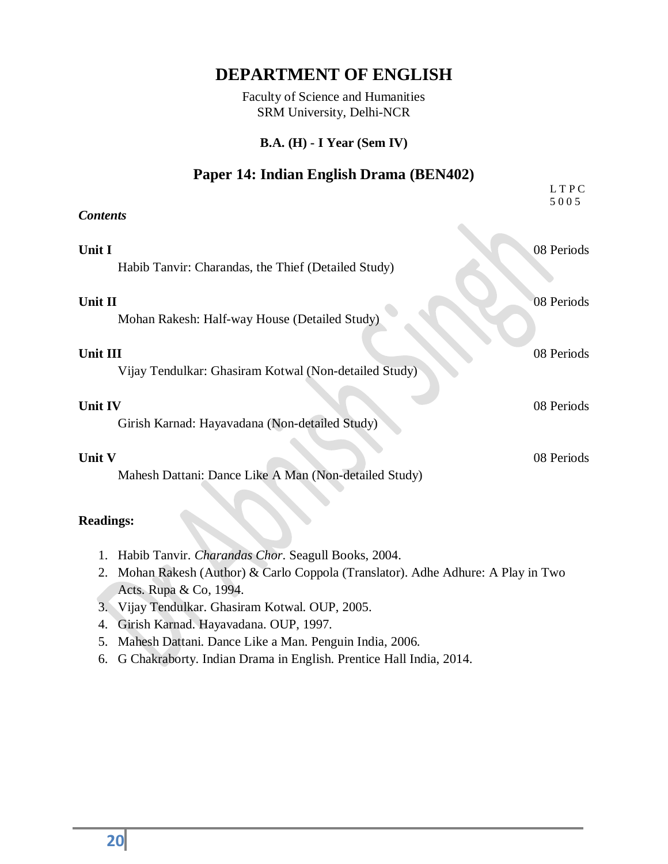Faculty of Science and Humanities SRM University, Delhi-NCR

#### **B.A. (H) - I Year (Sem IV)**

#### **Paper 14: Indian English Drama (BEN402)**

|                                                                   | LTPC<br>5005 |
|-------------------------------------------------------------------|--------------|
| <b>Contents</b>                                                   |              |
| Unit I<br>Habib Tanvir: Charandas, the Thief (Detailed Study)     | 08 Periods   |
| Unit II<br>Mohan Rakesh: Half-way House (Detailed Study)          | 08 Periods   |
| Unit III<br>Vijay Tendulkar: Ghasiram Kotwal (Non-detailed Study) | 08 Periods   |
| <b>Unit IV</b><br>Girish Karnad: Hayavadana (Non-detailed Study)  | 08 Periods   |
| Unit V<br>Mahesh Dattani: Dance Like A Man (Non-detailed Study)   | 08 Periods   |

- 1. Habib Tanvir. *Charandas Chor*. Seagull Books, 2004.
- 2. Mohan Rakesh (Author) & Carlo Coppola (Translator). Adhe Adhure: A Play in Two Acts. Rupa & Co, 1994.
- 3. Vijay Tendulkar. Ghasiram Kotwal. OUP, 2005.
- 4. Girish Karnad. Hayavadana. OUP, 1997.
- 5. Mahesh Dattani. Dance Like a Man. Penguin India, 2006.
- 6. G Chakraborty. Indian Drama in English. Prentice Hall India, 2014.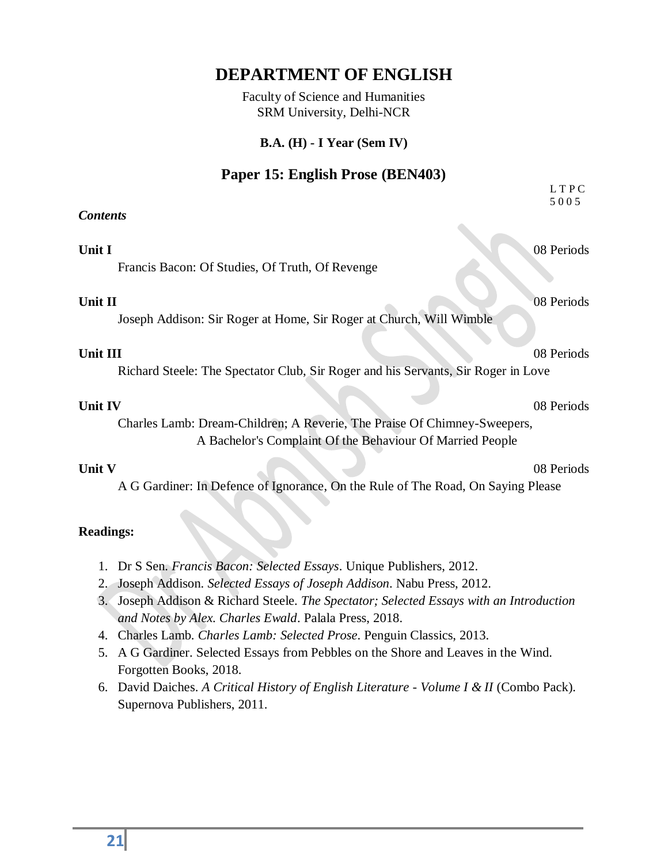Faculty of Science and Humanities SRM University, Delhi-NCR

#### **B.A. (H) - I Year (Sem IV)**

### **Paper 15: English Prose (BEN403)**

|                                                                                                                                                                                                                                                                                                                                                                                                                                                                               | LTPC<br>5005 |
|-------------------------------------------------------------------------------------------------------------------------------------------------------------------------------------------------------------------------------------------------------------------------------------------------------------------------------------------------------------------------------------------------------------------------------------------------------------------------------|--------------|
| <b>Contents</b>                                                                                                                                                                                                                                                                                                                                                                                                                                                               |              |
| Unit I<br>Francis Bacon: Of Studies, Of Truth, Of Revenge                                                                                                                                                                                                                                                                                                                                                                                                                     | 08 Periods   |
| Unit II<br>Joseph Addison: Sir Roger at Home, Sir Roger at Church, Will Wimble                                                                                                                                                                                                                                                                                                                                                                                                | 08 Periods   |
| Unit III<br>Richard Steele: The Spectator Club, Sir Roger and his Servants, Sir Roger in Love                                                                                                                                                                                                                                                                                                                                                                                 | 08 Periods   |
| <b>Unit IV</b><br>Charles Lamb: Dream-Children; A Reverie, The Praise Of Chimney-Sweepers,<br>A Bachelor's Complaint Of the Behaviour Of Married People                                                                                                                                                                                                                                                                                                                       | 08 Periods   |
| Unit V<br>A G Gardiner: In Defence of Ignorance, On the Rule of The Road, On Saying Please                                                                                                                                                                                                                                                                                                                                                                                    | 08 Periods   |
| <b>Readings:</b>                                                                                                                                                                                                                                                                                                                                                                                                                                                              |              |
| 1. Dr S Sen. Francis Bacon: Selected Essays. Unique Publishers, 2012.<br>Joseph Addison. Selected Essays of Joseph Addison. Nabu Press, 2012.<br>2.<br>Joseph Addison & Richard Steele. The Spectator; Selected Essays with an Introduction<br>3.<br>and Notes by Alex. Charles Ewald. Palala Press, 2018.<br>4. Charles Lamb. Charles Lamb: Selected Prose. Penguin Classics, 2013.<br>A G Gardiner. Selected Essays from Pebbles on the Shore and Leaves in the Wind.<br>5. |              |

- Forgotten Books, 2018.
- 6. David Daiches. *A Critical History of English Literature - Volume I & II* (Combo Pack). Supernova Publishers, 2011.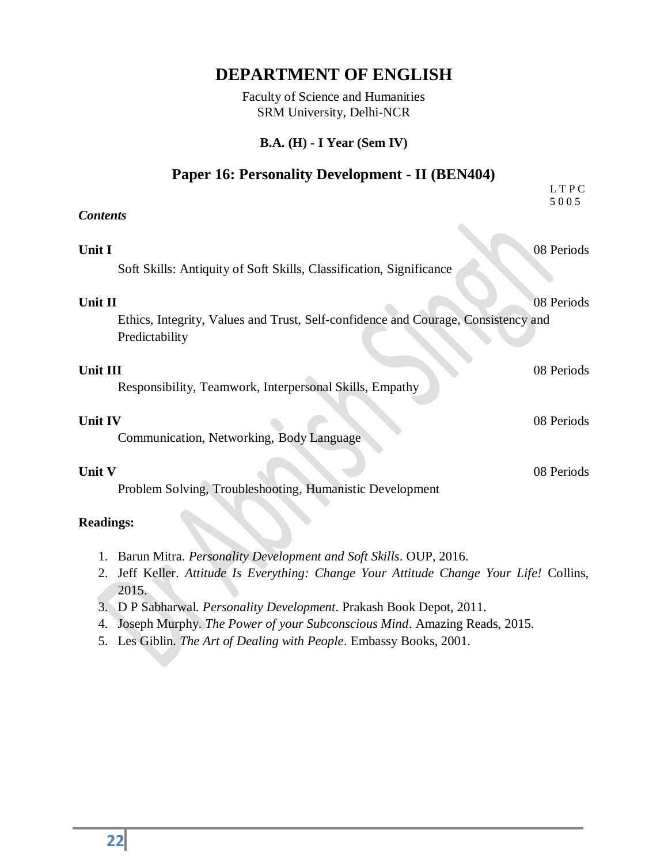Faculty of Science and Humanities SRM University, Delhi-NCR

#### **B.A. (H) - I Year (Sem IV)**

#### **Paper 16: Personality Development - II (BEN404)**

|                                                                                                     | LTPC<br>5005 |
|-----------------------------------------------------------------------------------------------------|--------------|
| <b>Contents</b>                                                                                     |              |
| Unit I<br>Soft Skills: Antiquity of Soft Skills, Classification, Significance                       | 08 Periods   |
| Unit II                                                                                             | 08 Periods   |
| Ethics, Integrity, Values and Trust, Self-confidence and Courage, Consistency and<br>Predictability |              |
| Unit III<br>Responsibility, Teamwork, Interpersonal Skills, Empathy                                 | 08 Periods   |
| <b>Unit IV</b><br>Communication, Networking, Body Language                                          | 08 Periods   |
| Unit V<br>Problem Solving, Troubleshooting, Humanistic Development                                  | 08 Periods   |
| <b>Readings:</b>                                                                                    |              |
| $10.0111$ $\alpha$ $\beta$                                                                          |              |

- 1. Barun Mitra. *Personality Development and Soft Skills*. OUP, 2016.
- 2. Jeff Keller. *Attitude Is Everything: Change Your Attitude Change Your Life!* Collins, 2015.
- 3. D P Sabharwal. *Personality Development*. Prakash Book Depot, 2011.
- 4. Joseph Murphy. *The Power of your Subconscious Mind*. Amazing Reads, 2015.
- 5. Les Giblin. *The Art of Dealing with People*. Embassy Books, 2001.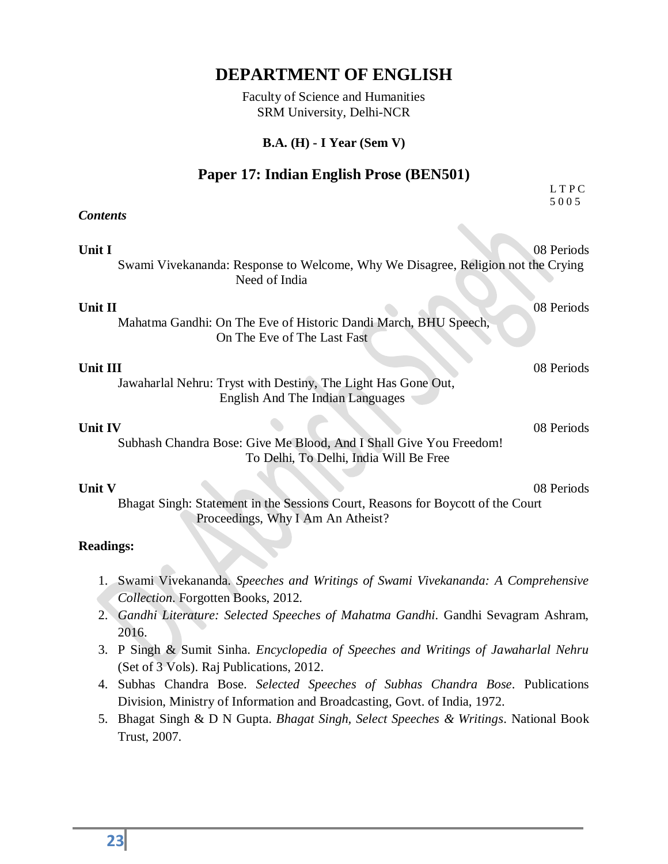Faculty of Science and Humanities SRM University, Delhi-NCR

#### **B.A. (H) - I Year (Sem V)**

#### **Paper 17: Indian English Prose (BEN501)**

|                                                                                                                                                                                                                  | LTPC<br>5005 |
|------------------------------------------------------------------------------------------------------------------------------------------------------------------------------------------------------------------|--------------|
| <b>Contents</b>                                                                                                                                                                                                  |              |
| Unit I<br>Swami Vivekananda: Response to Welcome, Why We Disagree, Religion not the Crying<br>Need of India                                                                                                      | 08 Periods   |
| Unit II<br>Mahatma Gandhi: On The Eve of Historic Dandi March, BHU Speech,<br>On The Eve of The Last Fast                                                                                                        | 08 Periods   |
| Unit III<br>Jawaharlal Nehru: Tryst with Destiny, The Light Has Gone Out,<br><b>English And The Indian Languages</b>                                                                                             | 08 Periods   |
| <b>Unit IV</b><br>Subhash Chandra Bose: Give Me Blood, And I Shall Give You Freedom!<br>To Delhi, To Delhi, India Will Be Free                                                                                   | 08 Periods   |
| Unit V<br>Bhagat Singh: Statement in the Sessions Court, Reasons for Boycott of the Court<br>Proceedings, Why I Am An Atheist?                                                                                   | 08 Periods   |
| <b>Readings:</b>                                                                                                                                                                                                 |              |
| 1. Swami Vivekananda. Speeches and Writings of Swami Vivekananda: A Comprehensive<br>Collection. Forgotten Books, 2012.<br>Gandhi Literature: Selected Speeches of Mahatma Gandhi. Gandhi Sevagram Ashram,<br>2. |              |

- 2016. 3. P Singh & Sumit Sinha. *Encyclopedia of Speeches and Writings of Jawaharlal Nehru* (Set of 3 Vols). Raj Publications, 2012.
- 4. Subhas Chandra Bose. *Selected Speeches of Subhas Chandra Bose*. Publications Division, Ministry of Information and Broadcasting, Govt. of India, 1972.
- 5. Bhagat Singh & D N Gupta. *Bhagat Singh, Select Speeches & Writings*. National Book Trust, 2007.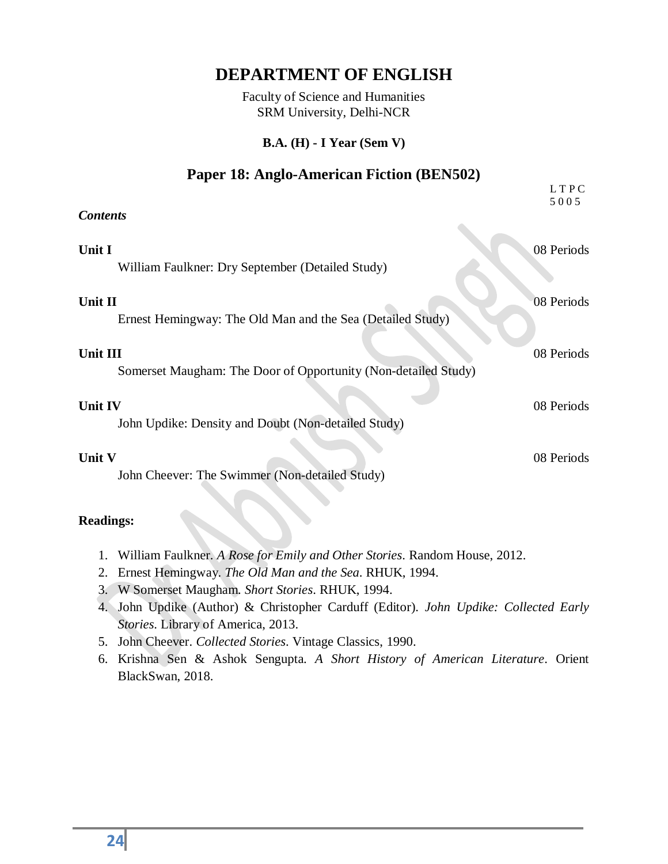Faculty of Science and Humanities SRM University, Delhi-NCR

#### **B.A. (H) - I Year (Sem V)**

#### **Paper 18: Anglo-American Fiction (BEN502)**

|                                                                            | LTPC<br>5005 |
|----------------------------------------------------------------------------|--------------|
| <b>Contents</b>                                                            |              |
| Unit I<br>William Faulkner: Dry September (Detailed Study)                 | 08 Periods   |
| Unit II<br>Ernest Hemingway: The Old Man and the Sea (Detailed Study)      | 08 Periods   |
| Unit III<br>Somerset Maugham: The Door of Opportunity (Non-detailed Study) | 08 Periods   |
| <b>Unit IV</b><br>John Updike: Density and Doubt (Non-detailed Study)      | 08 Periods   |
| Unit V<br>John Cheever: The Swimmer (Non-detailed Study)                   | 08 Periods   |

- 1. William Faulkner. *A Rose for Emily and Other Stories*. Random House, 2012.
- 2. Ernest Hemingway. *The Old Man and the Sea*. RHUK, 1994.
- 3. W Somerset Maugham. *Short Stories*. RHUK, 1994.
- 4. John Updike (Author) & Christopher Carduff (Editor). *John Updike: Collected Early Stories*. Library of America, 2013.
- 5. John Cheever. *Collected Stories*. Vintage Classics, 1990.
- 6. Krishna Sen & Ashok Sengupta. *A Short History of American Literature*. Orient BlackSwan, 2018.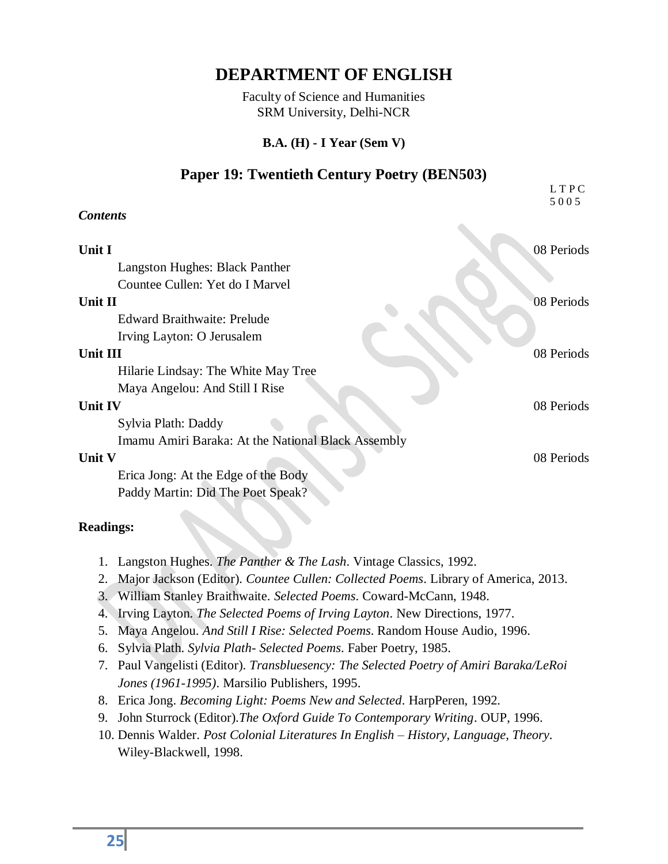Faculty of Science and Humanities SRM University, Delhi-NCR

#### **B.A. (H) - I Year (Sem V)**

#### **Paper 19: Twentieth Century Poetry (BEN503)**

|                                                    | LTPC<br>5005 |
|----------------------------------------------------|--------------|
| <b>Contents</b>                                    |              |
|                                                    |              |
| Unit I                                             | 08 Periods   |
| Langston Hughes: Black Panther                     |              |
| Countee Cullen: Yet do I Marvel                    |              |
| Unit II                                            | 08 Periods   |
| <b>Edward Braithwaite: Prelude</b>                 |              |
| Irving Layton: O Jerusalem                         |              |
| Unit III                                           | 08 Periods   |
| Hilarie Lindsay: The White May Tree                |              |
| Maya Angelou: And Still I Rise                     |              |
| <b>Unit IV</b>                                     | 08 Periods   |
| Sylvia Plath: Daddy                                |              |
| Imamu Amiri Baraka: At the National Black Assembly |              |
| Unit V                                             | 08 Periods   |
| Erica Jong: At the Edge of the Body                |              |
| Paddy Martin: Did The Poet Speak?                  |              |
|                                                    |              |

- 1. Langston Hughes. *The Panther & The Lash*. Vintage Classics, 1992.
- 2. Major Jackson (Editor). *Countee Cullen: Collected Poems*. Library of America, 2013.
- 3. William Stanley Braithwaite. *Selected Poems*. Coward-McCann, 1948.
- 4. Irving Layton. *The Selected Poems of Irving Layton*. New Directions, 1977.
- 5. Maya Angelou. *And Still I Rise: Selected Poems*. Random House Audio, 1996.
- 6. Sylvia Plath. *Sylvia Plath- Selected Poems*. Faber Poetry, 1985.
- 7. Paul Vangelisti (Editor). *Transbluesency: The Selected Poetry of Amiri Baraka/LeRoi Jones (1961-1995)*. Marsilio Publishers, 1995.
- 8. Erica Jong. *Becoming Light: Poems New and Selected*. HarpPeren, 1992.
- 9. John Sturrock (Editor).*The Oxford Guide To Contemporary Writing*. OUP, 1996.
- 10. Dennis Walder. *Post Colonial Literatures In English – History, Language, Theory*. Wiley-Blackwell, 1998.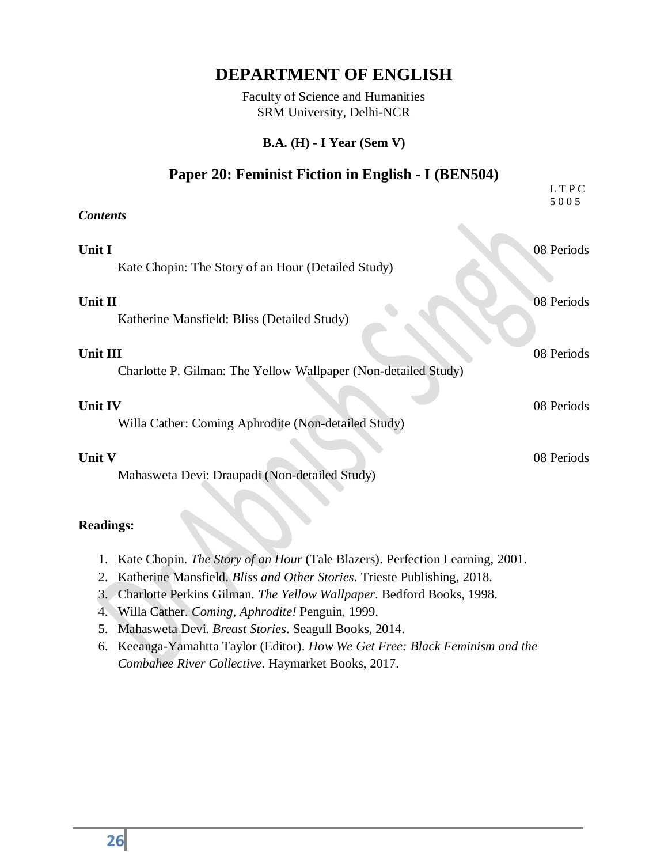Faculty of Science and Humanities SRM University, Delhi-NCR

#### **B.A. (H) - I Year (Sem V)**

#### **Paper 20: Feminist Fiction in English - I (BEN504)**

|                                                                            | LTPC<br>5005 |
|----------------------------------------------------------------------------|--------------|
| <b>Contents</b>                                                            |              |
| Unit I<br>Kate Chopin: The Story of an Hour (Detailed Study)               | 08 Periods   |
| Unit II<br>Katherine Mansfield: Bliss (Detailed Study)                     | 08 Periods   |
| Unit III<br>Charlotte P. Gilman: The Yellow Wallpaper (Non-detailed Study) | 08 Periods   |
| <b>Unit IV</b><br>Willa Cather: Coming Aphrodite (Non-detailed Study)      | 08 Periods   |
| Unit V<br>Mahasweta Devi: Draupadi (Non-detailed Study)                    | 08 Periods   |

- 1. Kate Chopin. *The Story of an Hour* (Tale Blazers). Perfection Learning, 2001.
- 2. Katherine Mansfield. *Bliss and Other Stories*. Trieste Publishing, 2018.
- 3. Charlotte Perkins Gilman. *The Yellow Wallpaper*. Bedford Books, 1998.
- 4. Willa Cather. *Coming, Aphrodite!* Penguin, 1999.
- 5. Mahasweta Devi. *Breast Stories*. Seagull Books, 2014.
- 6. Keeanga-Yamahtta Taylor (Editor). *How We Get Free: Black Feminism and the Combahee River Collective*. Haymarket Books, 2017.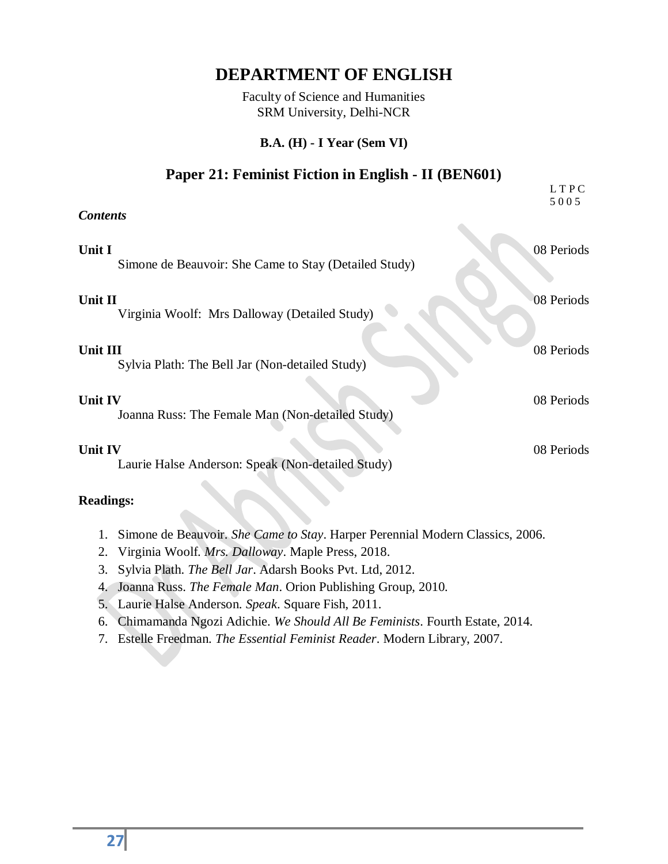Faculty of Science and Humanities SRM University, Delhi-NCR

#### **B.A. (H) - I Year (Sem VI)**

#### **Paper 21: Feminist Fiction in English - II (BEN601)**

|                                                                    | LTPC<br>5005 |
|--------------------------------------------------------------------|--------------|
| <b>Contents</b>                                                    |              |
| Unit I<br>Simone de Beauvoir: She Came to Stay (Detailed Study)    | 08 Periods   |
| Unit II<br>Virginia Woolf: Mrs Dalloway (Detailed Study)           | 08 Periods   |
| Unit III<br>Sylvia Plath: The Bell Jar (Non-detailed Study)        | 08 Periods   |
| <b>Unit IV</b><br>Joanna Russ: The Female Man (Non-detailed Study) | 08 Periods   |
| Unit IV<br>Laurie Halse Anderson: Speak (Non-detailed Study)       | 08 Periods   |
| <b>Readings:</b>                                                   |              |

- 1. Simone de Beauvoir. *She Came to Stay*. Harper Perennial Modern Classics, 2006.
- 2. Virginia Woolf. *Mrs. Dalloway*. Maple Press, 2018.
- 3. Sylvia Plath. *The Bell Jar*. Adarsh Books Pvt. Ltd, 2012.
- 4. Joanna Russ. *The Female Man*. Orion Publishing Group, 2010.
- 5. Laurie Halse Anderson. *Speak*. Square Fish, 2011.
- 6. Chimamanda Ngozi Adichie. *We Should All Be Feminists*. Fourth Estate, 2014.
- 7. Estelle Freedman. *The Essential Feminist Reader*. Modern Library, 2007.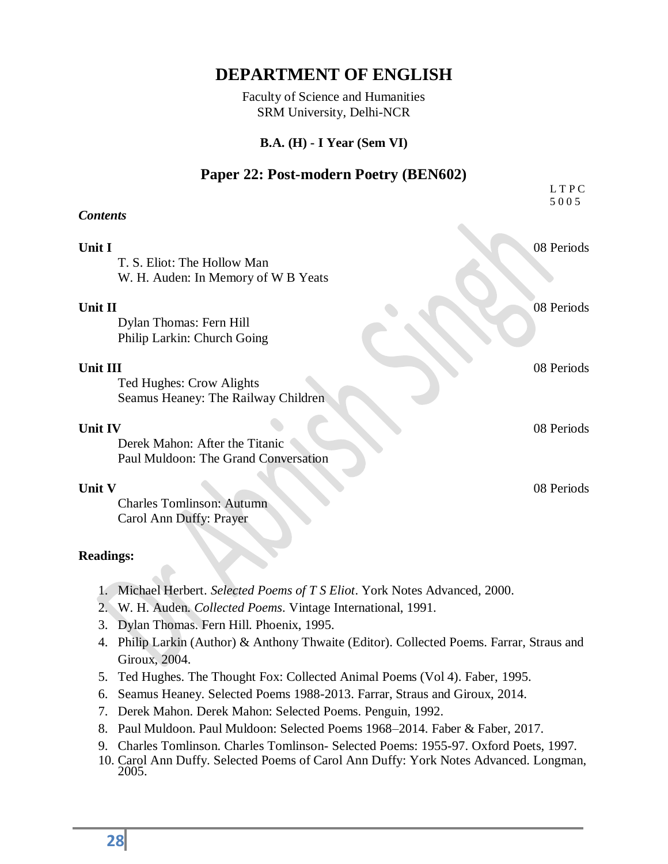Faculty of Science and Humanities SRM University, Delhi-NCR

#### **B.A. (H) - I Year (Sem VI)**

#### **Paper 22: Post-modern Poetry (BEN602)**

|                                                                                          | LTPC<br>5005 |
|------------------------------------------------------------------------------------------|--------------|
| <b>Contents</b>                                                                          |              |
| Unit I<br>T. S. Eliot: The Hollow Man<br>W. H. Auden: In Memory of W B Yeats             | 08 Periods   |
| Unit II<br>Dylan Thomas: Fern Hill<br>Philip Larkin: Church Going                        | 08 Periods   |
| Unit III<br>Ted Hughes: Crow Alights<br>Seamus Heaney: The Railway Children              | 08 Periods   |
| <b>Unit IV</b><br>Derek Mahon: After the Titanic<br>Paul Muldoon: The Grand Conversation | 08 Periods   |
| Unit V<br><b>Charles Tomlinson: Autumn</b><br>Carol Ann Duffy: Prayer                    | 08 Periods   |

- 1. Michael Herbert. *Selected Poems of T S Eliot*. York Notes Advanced, 2000.
- 2. W. H. Auden. *Collected Poems*. Vintage International, 1991.
- 3. Dylan Thomas. Fern Hill. Phoenix, 1995.
- 4. Philip Larkin (Author) & Anthony Thwaite (Editor). Collected Poems. Farrar, Straus and Giroux, 2004.
- 5. Ted Hughes. The Thought Fox: Collected Animal Poems (Vol 4). Faber, 1995.
- 6. Seamus Heaney. Selected Poems 1988-2013. Farrar, Straus and Giroux, 2014.
- 7. Derek Mahon. Derek Mahon: Selected Poems. Penguin, 1992.
- 8. Paul Muldoon. Paul Muldoon: Selected Poems 1968–2014. Faber & Faber, 2017.
- 9. Charles Tomlinson. Charles Tomlinson- Selected Poems: 1955-97. Oxford Poets, 1997.
- 10. Carol Ann Duffy. Selected Poems of Carol Ann Duffy: York Notes Advanced. Longman, 2005.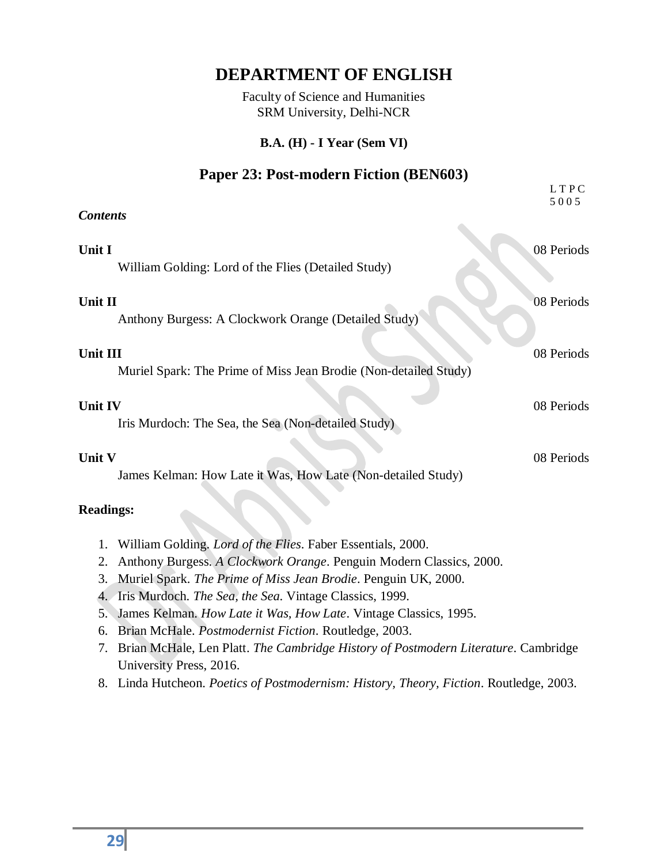Faculty of Science and Humanities SRM University, Delhi-NCR

#### **B.A. (H) - I Year (Sem VI)**

#### **Paper 23: Post-modern Fiction (BEN603)**

|                                                                               | LTPC<br>5005 |
|-------------------------------------------------------------------------------|--------------|
| <b>Contents</b>                                                               |              |
| Unit I<br>William Golding: Lord of the Flies (Detailed Study)                 | 08 Periods   |
| Unit II<br>Anthony Burgess: A Clockwork Orange (Detailed Study)               | 08 Periods   |
| Unit III<br>Muriel Spark: The Prime of Miss Jean Brodie (Non-detailed Study)  | 08 Periods   |
| Unit IV<br>Iris Murdoch: The Sea, the Sea (Non-detailed Study)                | 08 Periods   |
| <b>Unit V</b><br>James Kelman: How Late it Was, How Late (Non-detailed Study) | 08 Periods   |

- 1. William Golding. *Lord of the Flies*. Faber Essentials, 2000.
- 2. Anthony Burgess. *A Clockwork Orange*. Penguin Modern Classics, 2000.
- 3. Muriel Spark. *The Prime of Miss Jean Brodie*. Penguin UK, 2000.
- 4. Iris Murdoch. *The Sea, the Sea*. Vintage Classics, 1999.
- 5. James Kelman. *How Late it Was, How Late*. Vintage Classics, 1995.
- 6. Brian McHale. *Postmodernist Fiction*. Routledge, 2003.
- 7. Brian McHale, Len Platt. *The Cambridge History of Postmodern Literature*. Cambridge University Press, 2016.
- 8. Linda Hutcheon. *Poetics of Postmodernism: History, Theory, Fiction*. Routledge, 2003.